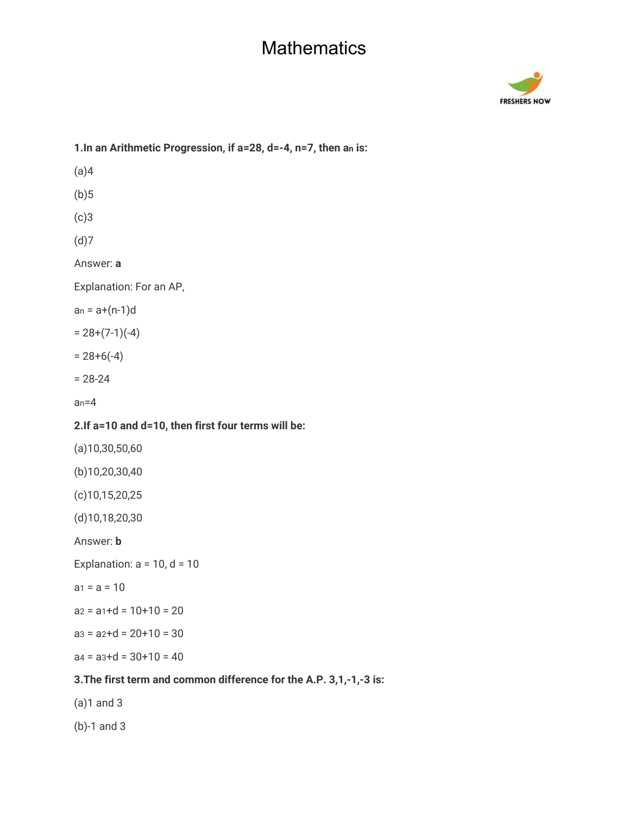

# **1.In an Arithmetic Progression, if a=28, d=-4, n=7, then an is:**  $(a)4$  $(b)5$ (c)3 (d)7 Answer: **a** Explanation: For an AP,  $an = a + (n-1)d$  $= 28+(7-1)(-4)$  $= 28+6(-4)$ = 28-24  $an=4$ **2.If a=10 and d=10, then first four terms will be:** (a)10,30,50,60 (b)10,20,30,40 (c)10,15,20,25 (d)10,18,20,30 Answer: **b** Explanation:  $a = 10$ ,  $d = 10$  $a_1 = a = 10$  $az = a_1 + d = 10 + 10 = 20$  $a3 = a2+d = 20+10 = 30$  $a4 = a3+d = 30+10 = 40$ **3.The first term and common difference for the A.P. 3,1,-1,-3 is:** (a)1 and 3

(b)-1 and 3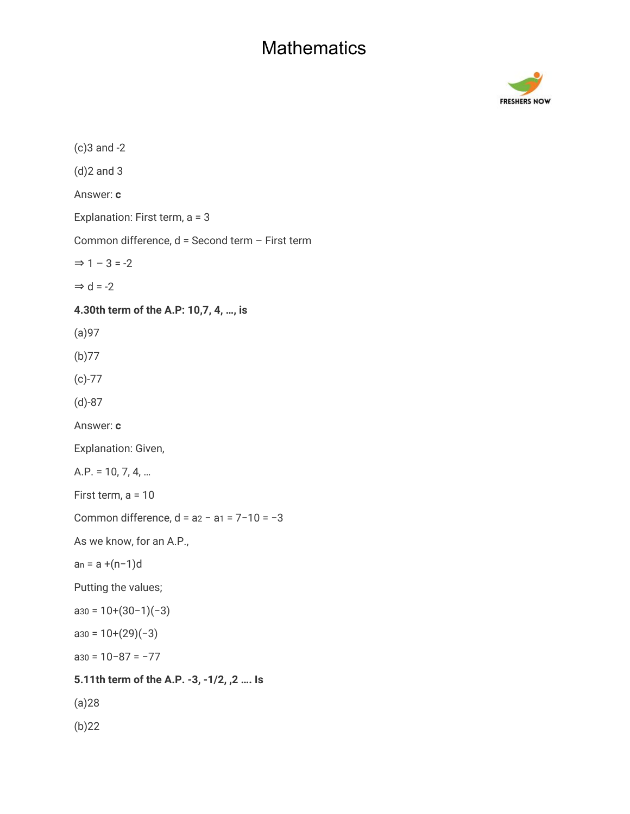

(c)3 and -2 (d)2 and 3 Answer: **c** Explanation: First term, a = 3 Common difference, d = Second term – First term  $\Rightarrow$  1 – 3 = -2  $\Rightarrow$  d = -2 **4.30th term of the A.P: 10,7, 4, …, is** (a)97 (b)77 (c)-77 (d)-87 Answer: **c** Explanation: Given, A.P. = 10, 7, 4, … First term, a = 10 Common difference, d = a2 − a1 = 7−10 = −3 As we know, for an A.P., an = a +(n−1)d Putting the values;  $a_{30} = 10+(30-1)(-3)$  $a_{30} = 10+(29)(-3)$ a30 = 10−87 = −77 **5.11th term of the A.P. -3, -1/2, ,2 …. Is** (a)28 (b)22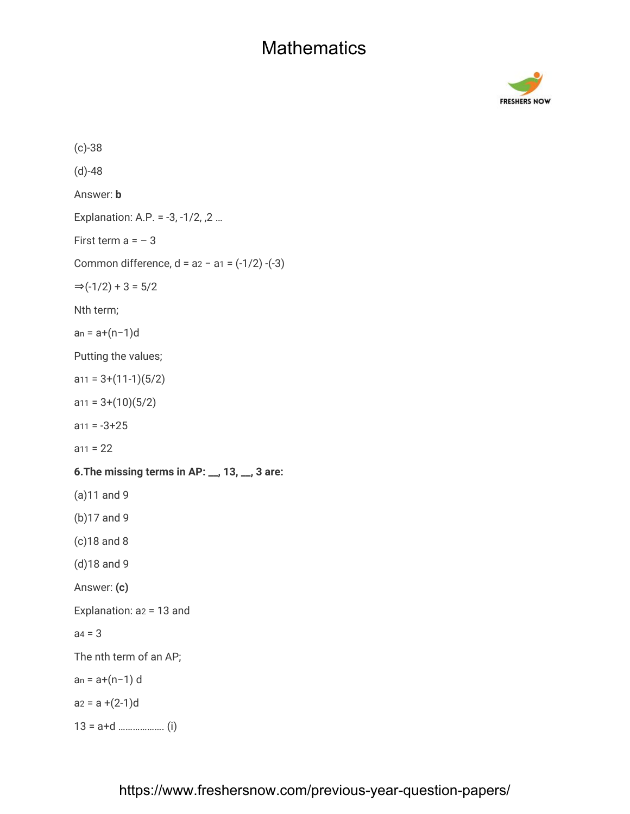

(c)-38 (d)-48 Answer: **b** Explanation: A.P. = -3, -1/2, ,2 … First term  $a = -3$ Common difference, d = a2 − a1 = (-1/2) -(-3)  $\Rightarrow$ (-1/2) + 3 = 5/2 Nth term; an = a+(n−1)d Putting the values;  $a_{11} = 3+(11-1)(5/2)$  $a_{11} = 3+(10)(5/2)$  $a_{11} = -3 + 25$  $a_{11} = 22$ **6.The missing terms in AP: \_\_, 13, \_\_, 3 are:** (a)11 and 9 (b)17 and 9 (c)18 and 8 (d)18 and 9 Answer: **(c)** Explanation: a2 = 13 and  $aa = 3$ The nth term of an AP; an = a+(n−1) d  $a_2 = a + (2-1)d$ 13 = a+d ………………. (i)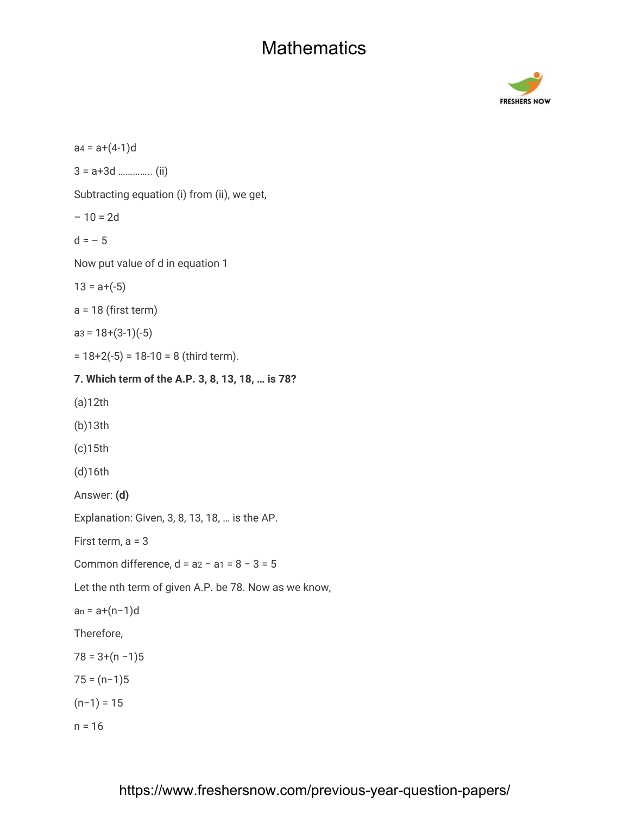

 $a4 = a+(4-1)d$ 3 = a+3d ………….. (ii) Subtracting equation (i) from (ii), we get,  $-10 = 2d$  $d = -5$ Now put value of d in equation 1  $13 = a + (-5)$  $a = 18$  (first term)  $a3 = 18+(3-1)(-5)$  $= 18+2(-5) = 18-10 = 8$  (third term). **7. Which term of the A.P. 3, 8, 13, 18, … is 78?** (a)12th (b)13th (c)15th (d)16th Answer: **(d)** Explanation: Given, 3, 8, 13, 18, … is the AP. First term, a = 3 Common difference,  $d = a2 - a1 = 8 - 3 = 5$ Let the nth term of given A.P. be 78. Now as we know, an = a+(n−1)d Therefore,  $78 = 3+(n-1)5$  $75 = (n-1)5$  $(n−1) = 15$  $n = 16$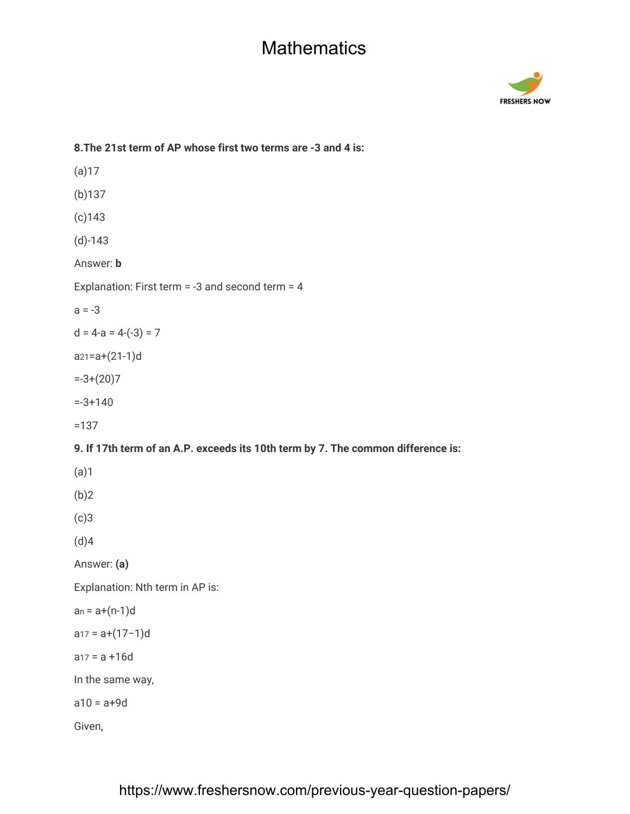

# **8.The 21st term of AP whose first two terms are -3 and 4 is:** (a)17 (b)137 (c)143 (d)-143 Answer: **b** Explanation: First term = -3 and second term = 4  $a = -3$  $d = 4-a = 4-(-3) = 7$ a21=a+(21-1)d  $=-3+(20)7$ =-3+140 =137 **9. If 17th term of an A.P. exceeds its 10th term by 7. The common difference is:** (a)1 (b)2 (c)3 (d)4 Answer: **(a)** Explanation: Nth term in AP is:  $an = a+(n-1)d$ a17 = a+(17−1)d  $a_{17} = a + 16d$ In the same way,  $a10 = a + 9d$ Given,

#### https://www.freshersnow.com/previous-year-question-papers/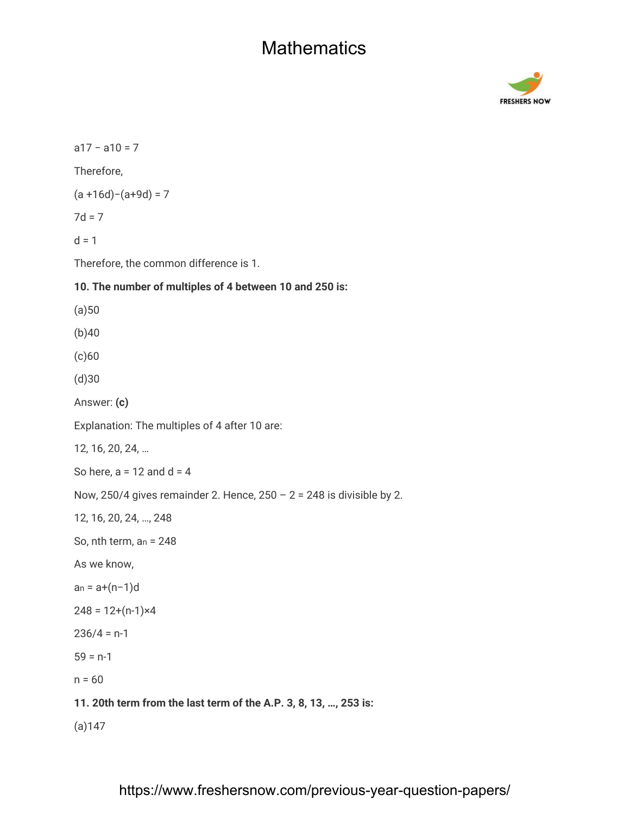

a17 − a10 = 7 Therefore, (a +16d)−(a+9d) = 7  $7d = 7$  $d = 1$ Therefore, the common difference is 1. **10. The number of multiples of 4 between 10 and 250 is:**  $(a)50$ (b)40 (c)60 (d)30 Answer: **(c)** Explanation: The multiples of 4 after 10 are: 12, 16, 20, 24, … So here,  $a = 12$  and  $d = 4$ Now, 250/4 gives remainder 2. Hence,  $250 - 2 = 248$  is divisible by 2. 12, 16, 20, 24, …, 248 So, nth term, an = 248 As we know, an = a+(n−1)d  $248 = 12+(n-1)x4$  $236/4 = n-1$  $59 = n-1$  $n = 60$ **11. 20th term from the last term of the A.P. 3, 8, 13, …, 253 is:** (a)147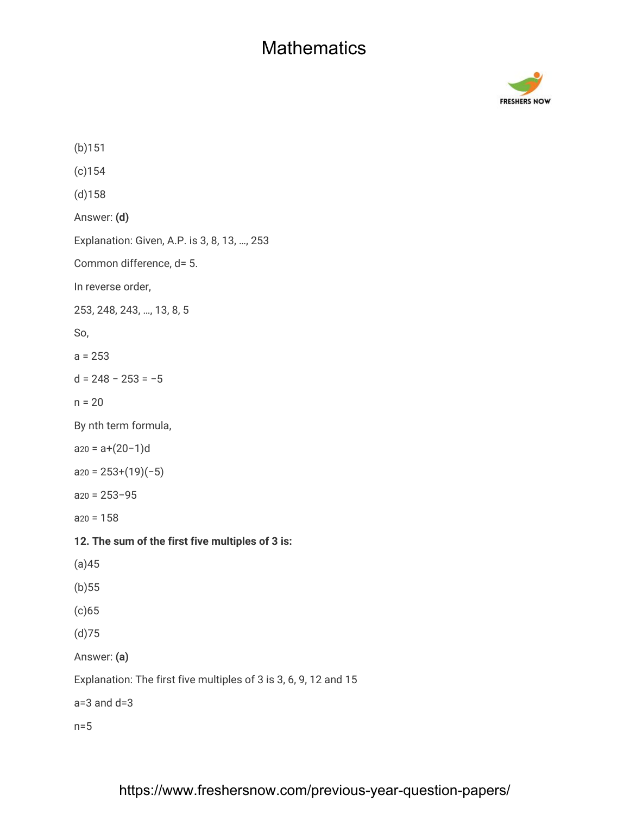

(b)151 (c)154 (d)158 Answer: **(d)** Explanation: Given, A.P. is 3, 8, 13, …, 253 Common difference, d= 5. In reverse order, 253, 248, 243, …, 13, 8, 5 So,  $a = 253$ d = 248 − 253 = −5  $n = 20$ By nth term formula, a20 = a+(20−1)d  $a_{20} = 253+(19)(-5)$ a20 = 253−95  $a_{20} = 158$ **12. The sum of the first five multiples of 3 is:** (a)45 (b)55 (c)65 (d)75 Answer: **(a)** Explanation: The first five multiples of 3 is 3, 6, 9, 12 and 15  $a=3$  and  $d=3$ n=5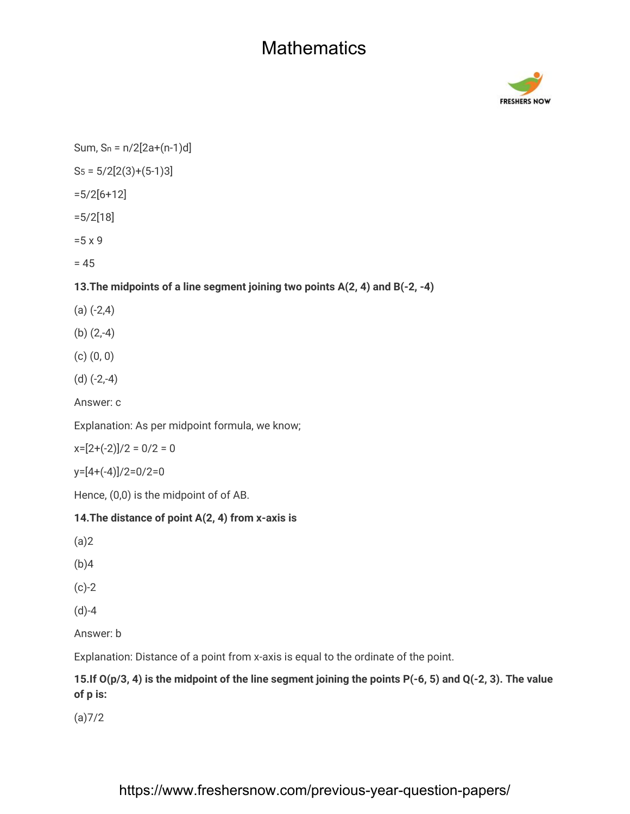

Sum,  $Sn = n/2[2a+(n-1)d]$ 

 $S_5 = 5/2[2(3)+(5-1)3]$ 

=5/2[6+12]

=5/2[18]

=5 x 9

 $= 45$ 

#### **13.The midpoints of a line segment joining two points A(2, 4) and B(-2, -4)**

- $(a)$   $(-2,4)$
- (b) (2,-4)
- (c) (0, 0)
- (d) (-2,-4)

Answer: c

Explanation: As per midpoint formula, we know;

 $x=[2+(-2)]/2=0/2=0$ 

y=[4+(-4)]/2=0/2=0

Hence, (0,0) is the midpoint of of AB.

#### **14.The distance of point A(2, 4) from x-axis is**

(a)2

(b)4

(c)-2

(d)-4

Answer: b

Explanation: Distance of a point from x-axis is equal to the ordinate of the point.

#### **15.If O(p/3, 4) is the midpoint of the line segment joining the points P(-6, 5) and Q(-2, 3). The value of p is:**

(a)7/2

#### https://www.freshersnow.com/previous-year-question-papers/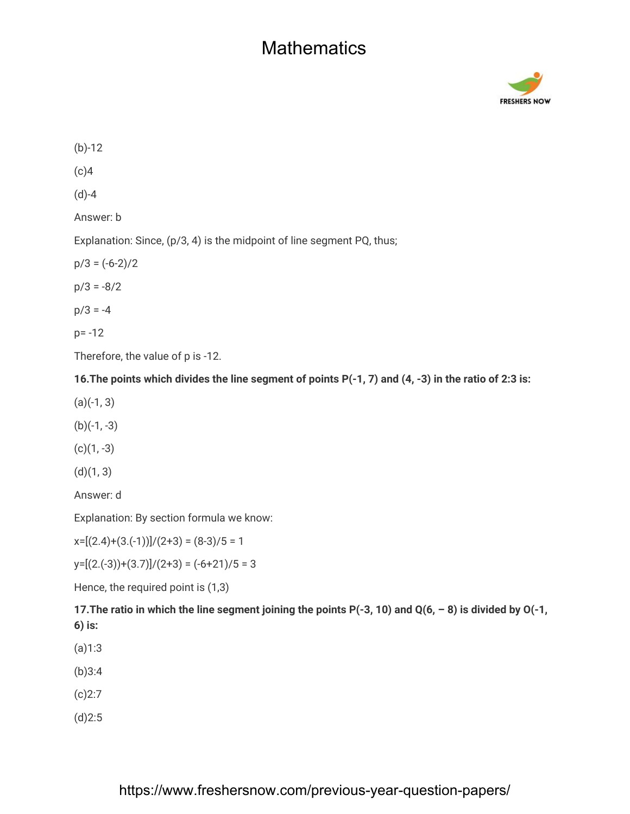

(b)-12  $(c)4$ (d)-4 Answer: b Explanation: Since, (p/3, 4) is the midpoint of line segment PQ, thus;  $p/3 = (-6-2)/2$  $p/3 = -8/2$  $p/3 = -4$ p= -12 Therefore, the value of p is -12.

**16.The points which divides the line segment of points P(-1, 7) and (4, -3) in the ratio of 2:3 is:**

 $(a)(-1, 3)$ 

 $(b)(-1, -3)$ 

 $(c)(1, -3)$ 

 $(d)(1, 3)$ 

Answer: d

Explanation: By section formula we know:

 $x=[(2.4)+(3.(-1))]/(2+3) = (8-3)/5 = 1$ 

 $y=[(2.(-3))+(3.7)]/(2+3) = (-6+21)/5 = 3$ 

Hence, the required point is (1,3)

**17.The ratio in which the line segment joining the points P(-3, 10) and Q(6, – 8) is divided by O(-1, 6) is:**

(a)1:3

(b)3:4

(c)2:7

(d)2:5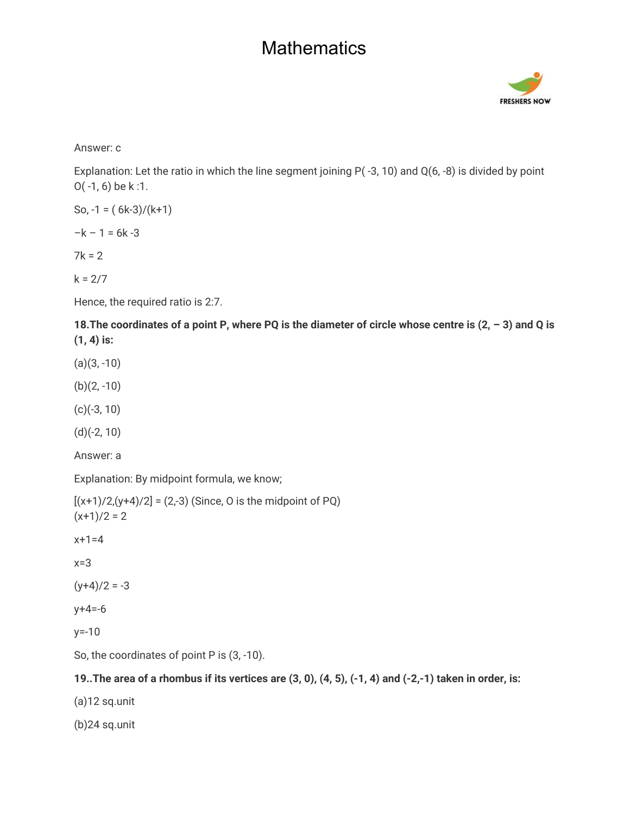

Answer: c

Explanation: Let the ratio in which the line segment joining P( -3, 10) and Q(6, -8) is divided by point O( -1, 6) be k :1.

So, 
$$
-1 = (6k-3)/(k+1)
$$

 $-k - 1 = 6k - 3$ 

 $7k = 2$ 

 $k = 2/7$ 

Hence, the required ratio is 2:7.

**18.The coordinates of a point P, where PQ is the diameter of circle whose centre is (2, – 3) and Q is (1, 4) is:**

 $(a)(3, -10)$ 

 $(b)(2, -10)$ 

(c)(-3, 10)

(d)(-2, 10)

Answer: a

Explanation: By midpoint formula, we know;

 $[(x+1)/2,(y+4)/2] = (2,-3)$  (Since, O is the midpoint of PQ)  $(x+1)/2 = 2$ 

 $x+1=4$ 

x=3

 $(y+4)/2 = -3$ 

 $y + 4 = -6$ 

y=-10

So, the coordinates of point P is  $(3, -10)$ .

#### **19..The area of a rhombus if its vertices are (3, 0), (4, 5), (-1, 4) and (-2,-1) taken in order, is:**

(a)12 sq.unit

(b)24 sq.unit